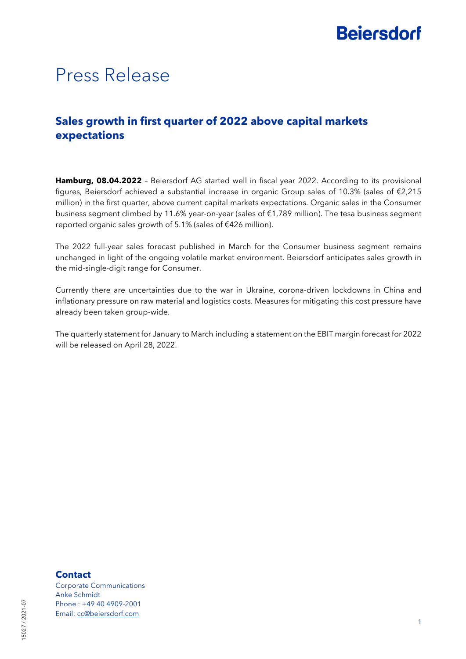## **Beiersdorf**

### Press Release

### **Sales growth in first quarter of 2022 above capital markets expectations**

**Hamburg, 08.04.2022** – Beiersdorf AG started well in fiscal year 2022. According to its provisional figures, Beiersdorf achieved a substantial increase in organic Group sales of 10.3% (sales of €2,215 million) in the first quarter, above current capital markets expectations. Organic sales in the Consumer business segment climbed by 11.6% year-on-year (sales of €1,789 million). The tesa business segment reported organic sales growth of 5.1% (sales of €426 million).

The 2022 full-year sales forecast published in March for the Consumer business segment remains unchanged in light of the ongoing volatile market environment. Beiersdorf anticipates sales growth in the mid-single-digit range for Consumer.

Currently there are uncertainties due to the war in Ukraine, corona-driven lockdowns in China and inflationary pressure on raw material and logistics costs. Measures for mitigating this cost pressure have already been taken group-wide.

The quarterly statement for January to March including a statement on the EBIT margin forecast for 2022 will be released on April 28, 2022.

#### **Contact**

Corporate Communications Anke Schmidt Phone.: +49 40 4909-2001 Email: [cc@beiersdorf.com](mailto:cc@beiersdorf.com)